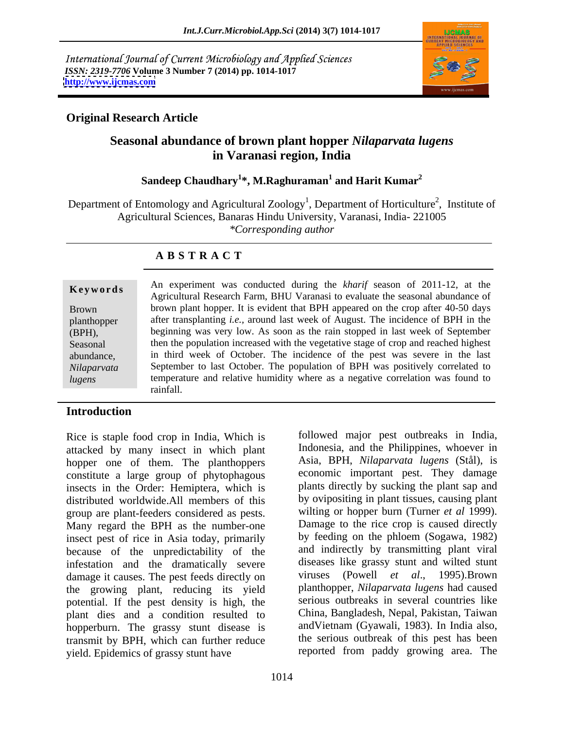International Journal of Current Microbiology and Applied Sciences *ISSN: 2319-7706* **Volume 3 Number 7 (2014) pp. 1014-1017 <http://www.ijcmas.com>**



# **Original Research Article**

# **Seasonal abundance of brown plant hopper** *Nilaparvata lugens* **in Varanasi region, India**

## $\mathbf S$ andeep  $\mathbf C$ haudhary $^1*$ ,  $\mathbf M$ .Raghuraman $^1$  and  $\mathbf H$ arit  $\mathbf K$ umar $^2$  **and Harit Kumar<sup>2</sup>**

Department of Entomology and Agricultural Zoology<sup>1</sup>, Department of Horticulture<sup>2</sup>, Institute of , Institute of Agricultural Sciences, Banaras Hindu University, Varanasi, India- 221005 *\*Corresponding author* 

# **A B S T R A C T**

| <b>Brown</b> |
|--------------|
| planthopper  |
| (BPH),       |
| Seasonal     |
| abundance.   |
| Nilaparvata  |
| lugens       |
|              |

**Keywords** All experiment was conducted during the *knary* season of 2011-12, at the Agricultural Research Farm, BHU Varanasi to evaluate the seasonal abundance of Brown brown plant hopper. It is evident that BPH appeared on the crop after 40-50 days planthopper after transplanting *i.e.,* around last week of August. The incidence of BPH in the (BPH), beginning was very low. As soon as the rain stopped in last week of September Seasonal then the population increased with the vegetative stage of crop and reached highest abundance, in third week of October. The incidence of the pest was severe in the last *Nilaparvata* September to last October. The population of BPH was positively correlated to *lugens* temperature and relative humidity where as a negative correlation was found to An experiment was conducted during the *kharif* season of 2011-12, at the rainfall.

## **Introduction**

Rice is staple food crop in India, Which is attacked by many insect in which plant hopper one of them. The planthoppers constitute a large group of phytophagous insects in the Order: Hemiptera, which is distributed worldwide.All members of this group are plant-feeders considered as pests. Many regard the BPH as the number-one insect pest of rice in Asia today, primarily because of the unpredictability of the infestation and the dramatically severe damage it causes. The pest feeds directly on the growing plant, reducing its yield potential. If the pest density is high, the plant dies and a condition resulted to hopperburn. The grassy stunt disease is transmit by BPH, which can further reduce yield. Epidemics of grassy stunt have

followed major pest outbreaks in India, Indonesia, and the Philippines, whoever in Asia, BPH, *Nilaparvata lugens* (Stål), is economic important pest. They damage plants directly by sucking the plant sap and by ovipositing in plant tissues, causing plant wilting or hopper burn (Turner *et al* 1999). Damage to the rice crop is caused directly by feeding on the phloem (Sogawa, 1982) and indirectly by transmitting plant viral diseases like grassy stunt and wilted stunt viruses (Powell *et al*., 1995).Brown planthopper, *Nilaparvata lugens* had caused serious outbreaks in several countries like China, Bangladesh, Nepal, Pakistan, Taiwan andVietnam (Gyawali, 1983). In India also, the serious outbreak of this pest has been reported from paddy growing area. The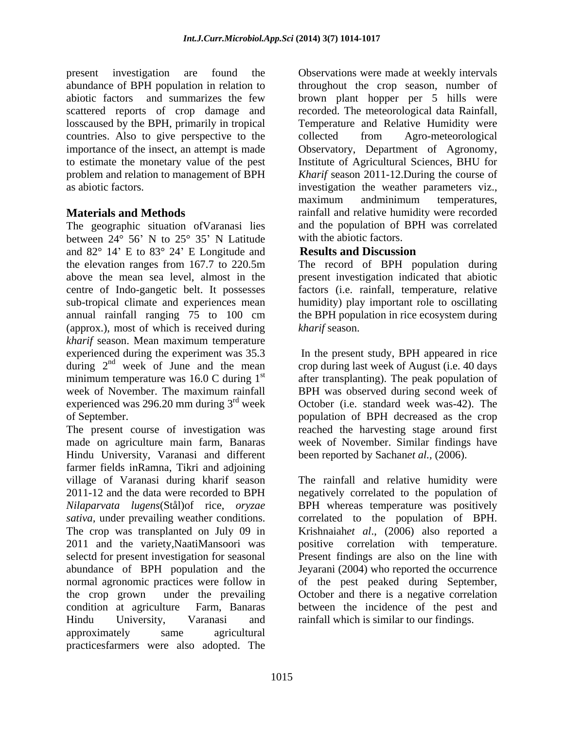losscaused by the BPH, primarily in tropical countries. Also to give perspective to the collected from Agro-meteorological

The geographic situation ofVaranasi lies between  $24^{\circ}$  56' N to  $25^{\circ}$  35' N Latitude and  $82^{\circ}$  14' E to  $83^{\circ}$  24' E Longitude and **Results and Discussion** the elevation ranges from 167.7 to 220.5m The record of BPH population during above the mean sea level, almost in the centre of Indo-gangetic belt. It possesses factors (i.e. rainfall, temperature, relative sub-tropical climate and experiences mean humidity) play important role to oscillating annual rainfall ranging 75 to 100 cm (approx.), most of which is received during kharif season. *kharif* season. Mean maximum temperature experienced during the experiment was 35.3 In the present study, BPH appeared in rice during  $2<sup>nd</sup>$  week of June and the mean crop during last week of August (i.e. 40 days minimum temperature was 16.0 C during  $1<sup>st</sup>$  after transplanting). The peak population of week of November. The maximum rainfall BPH was observed during second week of experienced was 296.20 mm during  $3<sup>rd</sup>$  week

The present course of investigation was reached the harvesting stage around first made on agriculture main farm, Banaras week of November. Similar findings have Hindu University, Varanasi and different farmer fields inRamna, Tikri and adjoining village of Varanasi during kharif season 2011-12 and the data were recorded to BPH negatively correlated to the population of *Nilaparvata lugens*(Stål)of rice, *oryzae sativa,* under prevailing weather conditions. correlated to the population of BPH. The crop was transplanted on July 09 in Krishnaiah*et al*., (2006) also reported a 2011 and the variety, Naati Mansoori was positive correlation with temperature. selectd for present investigation for seasonal Present findings are also on the line with abundance of BPH population and the Jeyarani (2004) who reported the occurrence normal agronomic practices were follow in of the pest peaked during September, the crop grown under the prevailing October and there is a negative correlation condition at agriculture Farm, Banaras between the incidence of the pest and Hindu University, Varanasi and rainfall which is similar to our findings.approximately same agricultural practicesfarmers were also adopted. The

present investigation are found the Observations were made at weekly intervals abundance of BPH population in relation to throughout the crop season, number of abiotic factors and summarizes the few brown plant hopper per 5 hills were scattered reports of crop damage and recorded. The meteorological data Rainfall, importance of the insect, an attempt is made Observatory, Department of Agronomy, to estimate the monetary value of the pest Institute of Agricultural Sciences, BHU for problem and relation to management of BPH *Kharif* season 2011-12.During the course of as abiotic factors. investigation the weather parameters viz., **Materials and Methods rainfall and relative humidity were recorded** Temperature and Relative Humidity were collected from Agro-meteorological maximum andminimum temperatures, and the population of BPH was correlated with the abiotic factors.

# **Results and Discussion**

present investigation indicated that abiotic the BPH population in rice ecosystem during *kharif* season.

of September. population of BPH decreased as the crop October (i.e. standard week was-42). The been reported by Sachan*et al.,* (2006).

> The rainfall and relative humidity were BPH whereas temperature was positively positive correlation with temperature.<br>Present findings are also on the line with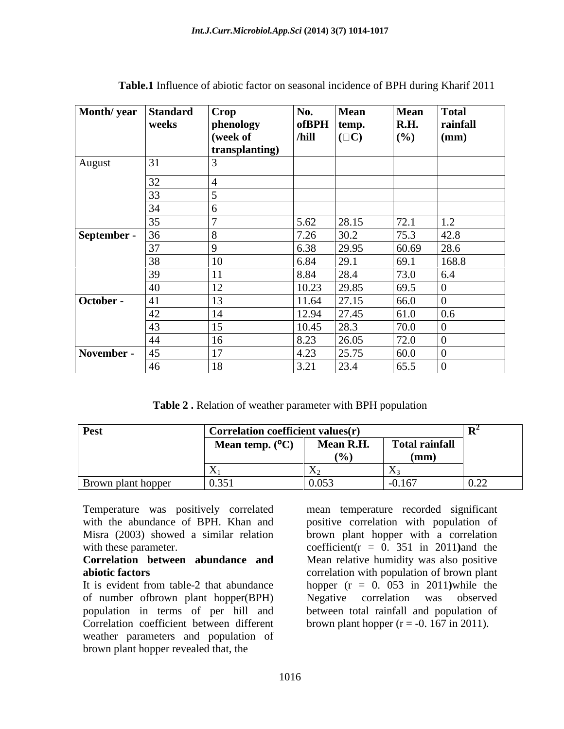| Month/year Standard |            | Crop           | No.                | Mean          |                                   | Total                      |
|---------------------|------------|----------------|--------------------|---------------|-----------------------------------|----------------------------|
|                     | weeks      | phenology      | $of$ BPH $ $ temp. |               | <b>Mean</b><br><b>R.H.</b><br>(%) | rainfall                   |
|                     |            |                |                    |               |                                   | $\mathbf{m}$               |
|                     |            | (week of       | /hill              | $(\Box C)$    |                                   |                            |
|                     |            | transplanting) |                    |               |                                   |                            |
| August              | 31         |                |                    |               |                                   |                            |
|                     |            |                |                    |               |                                   |                            |
|                     |            |                |                    |               |                                   |                            |
|                     |            |                |                    |               |                                   |                            |
|                     |            |                |                    |               |                                   |                            |
|                     |            |                | 5.62               | 28.15         | 72.1                              |                            |
| September -         |            |                | 7.26               | 30.2          | $\frac{75.3}{60.69}$              | $\frac{1.2}{42.8}$<br>28.6 |
|                     |            |                | 5.38               | 29.95         |                                   |                            |
|                     |            | 10             | 6.84               | 29.1          | 69.1                              | 168.8                      |
|                     |            |                |                    |               |                                   |                            |
|                     |            |                | 8.84               | 28.4          |                                   | 6.4                        |
|                     |            | 1 <sub>0</sub> | 10.23              | 29.85         | $\frac{73.0}{69.5}$               |                            |
| October -           |            | $1^{\circ}$    | 11.64              | 27.15         | 66.0                              |                            |
|                     | $\sqrt{2}$ | 14             |                    | $12.94$ 27.45 | 61.0                              | 0.6                        |
|                     |            | 15             | $10.45$ 28.3       |               | $\boxed{70.0}$                    |                            |
|                     |            |                |                    |               |                                   |                            |
|                     |            | 16             | 8.23               | 26.05         | 72.0                              |                            |
| November -          |            | 1 <sub>7</sub> | 4.23               | 25.75         | 60.0                              |                            |
|                     | 46         | 18             | 3.21               | 23.4          | 65.5                              |                            |

**Table.1** Influence of abiotic factor on seasonal incidence of BPH during Kharif 2011

**Table 2 .** Relation of weather parameter with BPH population

| <b>Pest</b>        | <b>Correlation coefficient values(r)</b>  |            |                                                  |                  |
|--------------------|-------------------------------------------|------------|--------------------------------------------------|------------------|
|                    | $\sim$ $\sim$<br><b>Mean temp.</b> $(97)$ | Mean R.H.  | <b>Total rainfall</b>                            |                  |
|                    |                                           | (0)        | the control of the control of<br>$(\mathbf{mm})$ |                  |
|                    |                                           |            |                                                  |                  |
| Brown plant hopper | 0.351                                     | 0.053<br>. | $-0.167$                                         | $\Omega$<br>0.44 |

Temperature was positively correlated mean temperature recorded significant

It is evident from table-2 that abundance hopper (r = 0. 053 in 2011**)**while the of number ofbrown plant hopper(BPH) population in terms of per hill and between total rainfall and population of Correlation coefficient between different brown plant hopper  $(r = -0.167 \text{ in } 2011)$ . weather parameters and population of brown plant hopper revealed that, the

with the abundance of BPH. Khan and positive correlation with population of Misra (2003) showed a similar relation brown plant hopper with a correlation with these parameter.  $\text{coefficient}(r = 0.351 \text{ in } 2011)$ and the **Correlation between abundance and** Mean relative humidity was also positive **abiotic factors abiotic factors abiotic factors** Negative correlation was